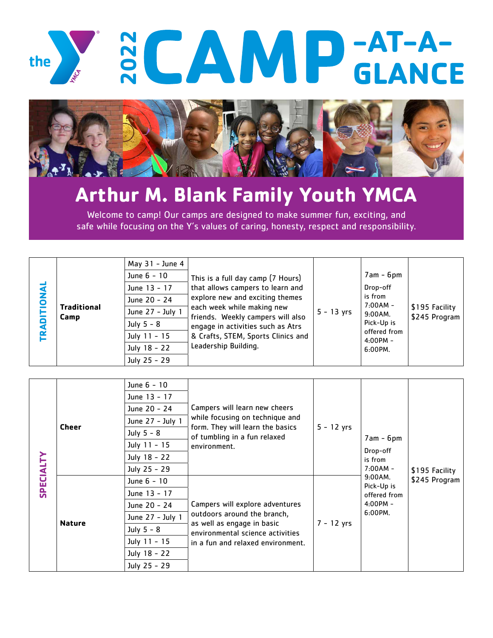



Welcome to camp! Our camps are designed to make summer fun, exciting, and safe while focusing on the Y's values of caring, honesty, respect and responsibility.

| DNAL<br>Δ<br>LA<br>ь | <b>Traditional</b><br>Camp | May 31 - June 4<br>June 6 - 10<br>June 13 - 17<br>June 20 - 24<br>June 27 - July 1<br>July $5 - 8$<br>July 11 - 15<br>July 18 - 22<br>July 25 - 29 | This is a full day camp (7 Hours)<br>that allows campers to learn and<br>explore new and exciting themes<br>each week while making new<br>friends. Weekly campers will also<br>engage in activities such as Atrs<br>& Crafts, STEM, Sports Clinics and<br>Leadership Building. | $5 - 13$ yrs | $7am - 6pm$<br>Drop-off<br>is from<br>$7:00AM -$<br>$9:00AM$ .<br>Pick-Up is<br>offered from<br>$4:00PM -$<br>6:00PM. | \$195 Facility<br>\$245 Program |
|----------------------|----------------------------|----------------------------------------------------------------------------------------------------------------------------------------------------|--------------------------------------------------------------------------------------------------------------------------------------------------------------------------------------------------------------------------------------------------------------------------------|--------------|-----------------------------------------------------------------------------------------------------------------------|---------------------------------|
|----------------------|----------------------------|----------------------------------------------------------------------------------------------------------------------------------------------------|--------------------------------------------------------------------------------------------------------------------------------------------------------------------------------------------------------------------------------------------------------------------------------|--------------|-----------------------------------------------------------------------------------------------------------------------|---------------------------------|

| <b>SPECIALTY</b> | <b>Cheer</b>  | June 6 - 10<br>June 13 - 17<br>June 20 - 24<br>June 27 - July 1<br>July $5 - 8$<br>July 11 - 15<br>July 18 - 22 | Campers will learn new cheers<br>while focusing on technique and<br>form. They will learn the basics<br>of tumbling in a fun relaxed<br>environment.                  | $5 - 12$ yrs | $7am - 6pm$<br>Drop-off<br>is from<br>$7:00AM -$<br>$9:00AM$ .<br>Pick-Up is<br>offered from<br>$4:00PM -$<br>$6:00PM$ . | \$195 Facility<br>\$245 Program |
|------------------|---------------|-----------------------------------------------------------------------------------------------------------------|-----------------------------------------------------------------------------------------------------------------------------------------------------------------------|--------------|--------------------------------------------------------------------------------------------------------------------------|---------------------------------|
|                  |               | July 25 - 29                                                                                                    |                                                                                                                                                                       |              |                                                                                                                          |                                 |
|                  | <b>Nature</b> | June 6 - 10                                                                                                     | Campers will explore adventures<br>outdoors around the branch,<br>as well as engage in basic<br>environmental science activities<br>in a fun and relaxed environment. | $7 - 12$ yrs |                                                                                                                          |                                 |
|                  |               | June 13 - 17                                                                                                    |                                                                                                                                                                       |              |                                                                                                                          |                                 |
|                  |               | June 20 - 24                                                                                                    |                                                                                                                                                                       |              |                                                                                                                          |                                 |
|                  |               | June 27 - July 1                                                                                                |                                                                                                                                                                       |              |                                                                                                                          |                                 |
|                  |               | July 5 - 8                                                                                                      |                                                                                                                                                                       |              |                                                                                                                          |                                 |
|                  |               | July 11 - 15                                                                                                    |                                                                                                                                                                       |              |                                                                                                                          |                                 |
|                  |               | July 18 - 22                                                                                                    |                                                                                                                                                                       |              |                                                                                                                          |                                 |
|                  |               | July 25 - 29                                                                                                    |                                                                                                                                                                       |              |                                                                                                                          |                                 |